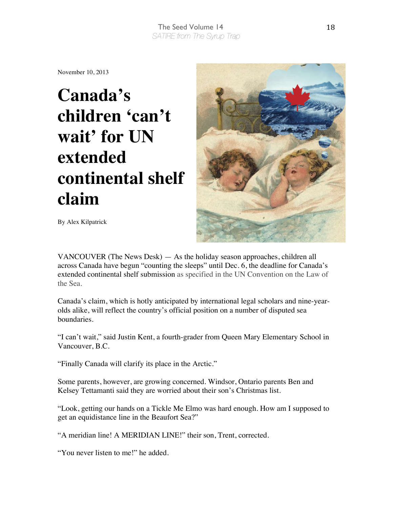## The Seed Volume 14 *SATIRE from The Syrup Trap*

November 10, 2013

## **Canada's children 'can't wait' for UN extended continental shelf claim**



By Alex Kilpatrick

VANCOUVER (The News Desk) — As the holiday season approaches, children all across Canada have begun "counting the sleeps" until Dec. 6, the deadline for Canada's extended continental shelf submission as specified in the UN Convention on the Law of the Sea.

Canada's claim, which is hotly anticipated by international legal scholars and nine-yearolds alike, will reflect the country's official position on a number of disputed sea boundaries.

"I can't wait," said Justin Kent, a fourth-grader from Queen Mary Elementary School in Vancouver, B.C.

"Finally Canada will clarify its place in the Arctic."

Some parents, however, are growing concerned. Windsor, Ontario parents Ben and Kelsey Tettamanti said they are worried about their son's Christmas list.

"Look, getting our hands on a Tickle Me Elmo was hard enough. How am I supposed to get an equidistance line in the Beaufort Sea?"

"A meridian line! A MERIDIAN LINE!" their son, Trent, corrected.

"You never listen to me!" he added.